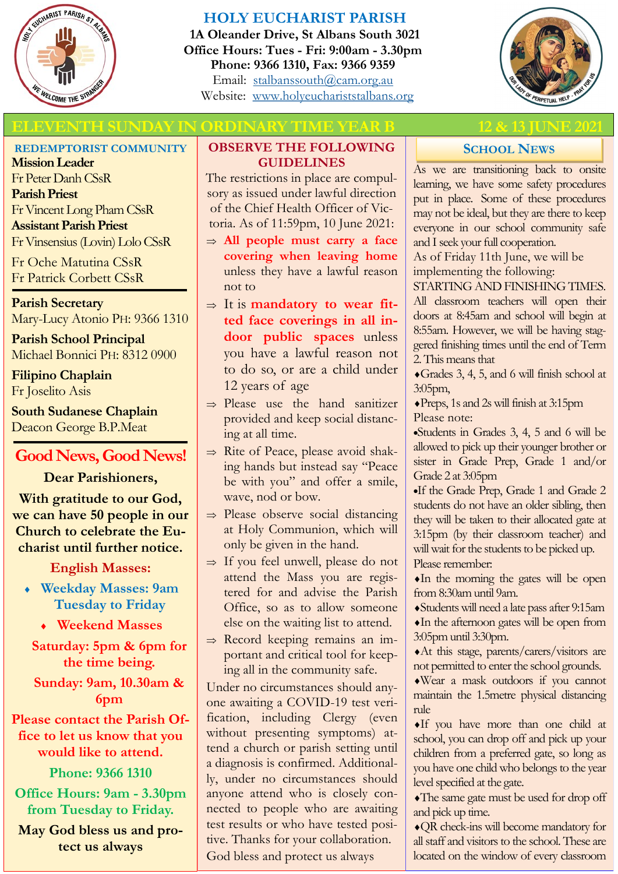

# **HOLY EUCHARIST PARISH**

**1A Oleander Drive, St Albans South 3021 Office Hours: Tues - Fri: 9:00am - 3.30pm Phone: 9366 1310, Fax: 9366 9359** Email: [stalbanssouth@cam.org.au](mailto:stalbanssouth@cam.org.au) Website:[www.holyeuchariststalbans.org](http://www.holyeuchariststalbans.org)



# **ELEVENTH SUNDAY IN ORDINARY TIME YEAR B 12 & 13 JUNE 2021**

#### **REDEMPTORIST COMMUNITY**

**Mission Leader** Fr Peter Danh CSsR **Parish Priest** Fr Vincent Long Pham CSsR **Assistant Parish Priest**  Fr Vinsensius (Lovin) Lolo CSsR

Fr Oche Matutina CSsR Fr Patrick Corbett CSsR

**Parish Secretary** Mary-Lucy Atonio PH: 9366 1310

**Parish School Principal** Michael Bonnici PH: 8312 0900

**Filipino Chaplain** Fr Joselito Asis

**South Sudanese Chaplain** Deacon George B.P.Meat

# **Good News, Good News!**

#### **Dear Parishioners,**

**With gratitude to our God, we can have 50 people in our Church to celebrate the Eucharist until further notice.**

**English Masses:**

- **Weekday Masses: 9am Tuesday to Friday**
	- **Weekend Masses**
	- **Saturday: 5pm & 6pm for the time being.**

**Sunday: 9am, 10.30am & 6pm**

**Please contact the Parish Office to let us know that you would like to attend.**

**Phone: 9366 1310**

**Office Hours: 9am - 3.30pm from Tuesday to Friday.**

**May God bless us and protect us always**

#### **OBSERVE THE FOLLOWING GUIDELINES**

The restrictions in place are compulsory as issued under lawful direction of the Chief Health Officer of Victoria. As of 11:59pm, 10 June 2021:

- **All people must carry a face covering when leaving home**  unless they have a lawful reason not to
- $\Rightarrow$  It is **mandatory to wear fitted face coverings in all indoor public spaces** unless you have a lawful reason not to do so, or are a child under 12 years of age
- $\Rightarrow$  Please use the hand sanitizer provided and keep social distancing at all time.
- $\Rightarrow$  Rite of Peace, please avoid shaking hands but instead say "Peace be with you" and offer a smile, wave, nod or bow.
- $\Rightarrow$  Please observe social distancing at Holy Communion, which will only be given in the hand.
- $\Rightarrow$  If you feel unwell, please do not attend the Mass you are registered for and advise the Parish Office, so as to allow someone else on the waiting list to attend.
- $\Rightarrow$  Record keeping remains an important and critical tool for keeping all in the community safe.

Under no circumstances should anyone awaiting a COVID-19 test verification, including Clergy (even without presenting symptoms) attend a church or parish setting until a diagnosis is confirmed. Additionally, under no circumstances should anyone attend who is closely connected to people who are awaiting test results or who have tested positive. Thanks for your collaboration.

#### God bless and protect us always

# **SCHOOL NEWS**

As we are transitioning back to onsite learning, we have some safety procedures put in place. Some of these procedures may not be ideal, but they are there to keep everyone in our school community safe and I seek your full cooperation.

As of Friday 11th June, we will be implementing the following:

STARTING AND FINISHING TIMES. All classroom teachers will open their doors at 8:45am and school will begin at 8:55am. However, we will be having staggered finishing times until the end of Term 2. This means that

Grades 3, 4, 5, and 6 will finish school at 3:05pm,

Preps, 1s and 2s will finish at 3:15pm Please note:

Students in Grades 3, 4, 5 and 6 will be allowed to pick up their younger brother or sister in Grade Prep, Grade 1 and/or Grade 2 at 3:05pm

If the Grade Prep, Grade 1 and Grade 2 students do not have an older sibling, then they will be taken to their allocated gate at 3:15pm (by their classroom teacher) and will wait for the students to be picked up. Please remember:

In the morning the gates will be open from 8:30am until 9am.

Students will need a late pass after 9:15am

In the afternoon gates will be open from 3:05pm until 3:30pm.

At this stage, parents/carers/visitors are not permitted to enter the school grounds.

Wear a mask outdoors if you cannot maintain the 1.5metre physical distancing rule

If you have more than one child at school, you can drop off and pick up your children from a preferred gate, so long as you have one child who belongs to the year level specified at the gate.

The same gate must be used for drop off and pick up time.

QR check-ins will become mandatory for all staff and visitors to the school. These are located on the window of every classroom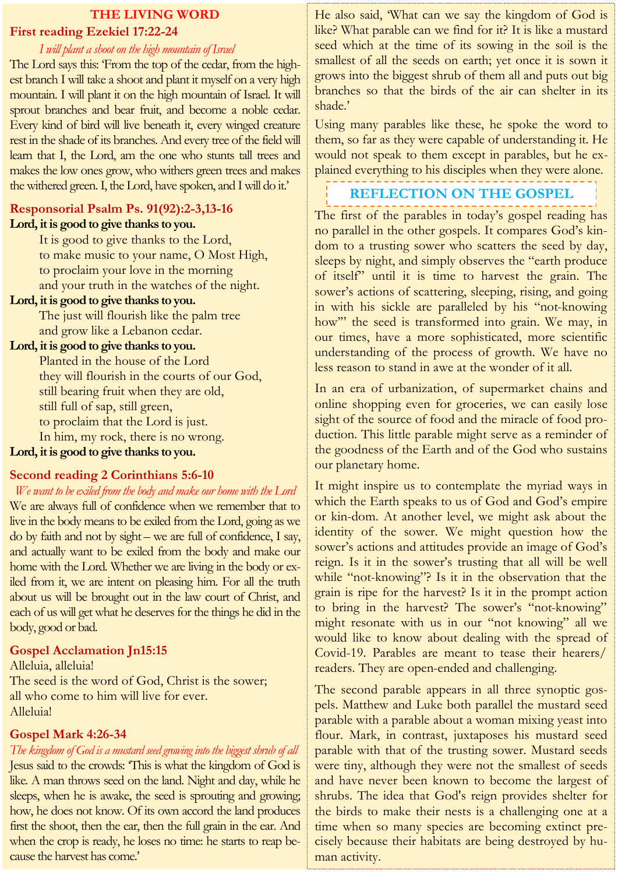#### **THE LIVING WORD**

# **First reading Ezekiel 17:22-24**

#### *I will plant a shoot on the high mountain of Israel*

The Lord says this: 'From the top of the cedar, from the highest branch I will take a shoot and plant it myself on a very high mountain. I will plant it on the high mountain of Israel. It will sprout branches and bear fruit, and become a noble cedar. Every kind of bird will live beneath it, every winged creature rest in the shade of its branches. And every tree of the field will learn that I, the Lord, am the one who stunts tall trees and makes the low ones grow, who withers green trees and makes the withered green. I, the Lord, have spoken, and I will do it.'

#### **Responsorial Psalm Ps. 91(92):2-3,13-16**

#### **Lord, it is good to give thanks to you.**

It is good to give thanks to the Lord, to make music to your name, O Most High, to proclaim your love in the morning and your truth in the watches of the night.

**Lord, it is good to give thanks to you.**

The just will flourish like the palm tree and grow like a Lebanon cedar.

**Lord, it is good to give thanks to you.**

Planted in the house of the Lord they will flourish in the courts of our God, still bearing fruit when they are old, still full of sap, still green, to proclaim that the Lord is just. In him, my rock, there is no wrong.

#### **Lord, it is good to give thanks to you.**

#### **Second reading 2 Corinthians 5:6-10**

# *We want to be exiled from the body and make our home with the Lord*

We are always full of confidence when we remember that to live in the body means to be exiled from the Lord, going as we do by faith and not by sight – we are full of confidence, I say, and actually want to be exiled from the body and make our home with the Lord. Whether we are living in the body or exiled from it, we are intent on pleasing him. For all the truth about us will be brought out in the law court of Christ, and each of us will get what he deserves for the things he did in the body, good or bad.

#### **Gospel Acclamation Jn15:15**

Alleluia, alleluia! The seed is the word of God, Christ is the sower; all who come to him will live for ever. Alleluia!

# **Gospel Mark 4:26-34**

*The kingdom of God is a mustard seed growing into the biggest shrub of all* Jesus said to the crowds: 'This is what the kingdom of God is like. A man throws seed on the land. Night and day, while he sleeps, when he is awake, the seed is sprouting and growing; how, he does not know. Of its own accord the land produces first the shoot, then the ear, then the full grain in the ear. And when the crop is ready, he loses no time: he starts to reap because the harvest has come.'

He also said, 'What can we say the kingdom of God is like? What parable can we find for it? It is like a mustard seed which at the time of its sowing in the soil is the smallest of all the seeds on earth; yet once it is sown it grows into the biggest shrub of them all and puts out big branches so that the birds of the air can shelter in its shade.'

Using many parables like these, he spoke the word to them, so far as they were capable of understanding it. He would not speak to them except in parables, but he explained everything to his disciples when they were alone.

# **REFLECTION ON THE GOSPEL**

The first of the parables in today's gospel reading has no parallel in the other gospels. It compares God's kindom to a trusting sower who scatters the seed by day, sleeps by night, and simply observes the "earth produce of itself" until it is time to harvest the grain. The sower's actions of scattering, sleeping, rising, and going in with his sickle are paralleled by his "not-knowing how" the seed is transformed into grain. We may, in our times, have a more sophisticated, more scientific understanding of the process of growth. We have no less reason to stand in awe at the wonder of it all.

In an era of urbanization, of supermarket chains and online shopping even for groceries, we can easily lose sight of the source of food and the miracle of food production. This little parable might serve as a reminder of the goodness of the Earth and of the God who sustains our planetary home.

It might inspire us to contemplate the myriad ways in which the Earth speaks to us of God and God's empire or kin-dom. At another level, we might ask about the identity of the sower. We might question how the sower's actions and attitudes provide an image of God's reign. Is it in the sower's trusting that all will be well while "not-knowing"? Is it in the observation that the grain is ripe for the harvest? Is it in the prompt action to bring in the harvest? The sower's "not-knowing" might resonate with us in our "not knowing" all we would like to know about dealing with the spread of Covid-19. Parables are meant to tease their hearers/ readers. They are open-ended and challenging.

The second parable appears in all three synoptic gospels. Matthew and Luke both parallel the mustard seed parable with a parable about a woman mixing yeast into flour. Mark, in contrast, juxtaposes his mustard seed parable with that of the trusting sower. Mustard seeds were tiny, although they were not the smallest of seeds and have never been known to become the largest of shrubs. The idea that God's reign provides shelter for the birds to make their nests is a challenging one at a time when so many species are becoming extinct precisely because their habitats are being destroyed by human activity.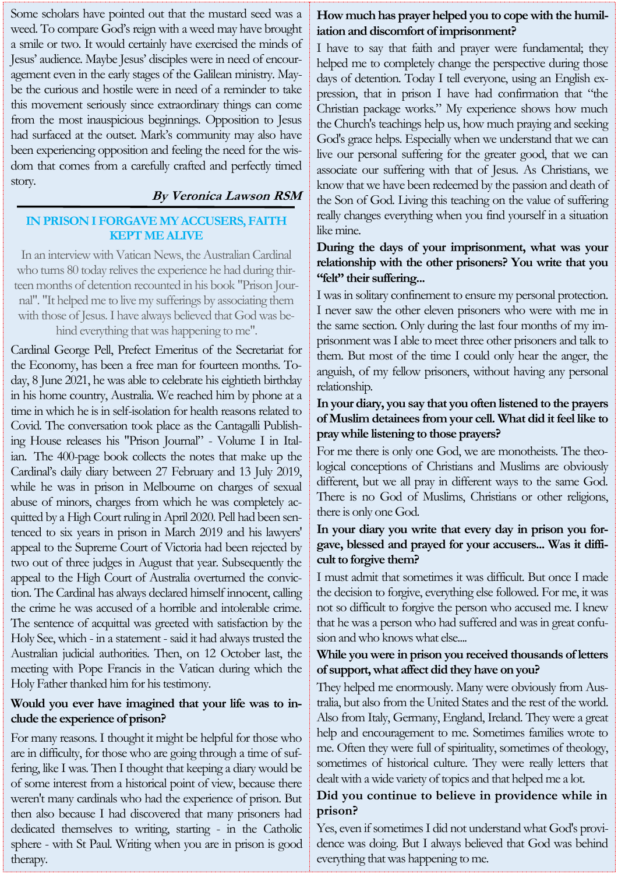Some scholars have pointed out that the mustard seed was a weed. To compare God's reign with a weed may have brought a smile or two. It would certainly have exercised the minds of Jesus' audience. Maybe Jesus' disciples were in need of encouragement even in the early stages of the Galilean ministry. Maybe the curious and hostile were in need of a reminder to take this movement seriously since extraordinary things can come from the most inauspicious beginnings. Opposition to Jesus had surfaced at the outset. Mark's community may also have been experiencing opposition and feeling the need for the wisdom that comes from a carefully crafted and perfectly timed story.

#### **By Veronica Lawson RSM**

# **IN PRISON I FORGAVE MY ACCUSERS, FAITH KEPT ME ALIVE**

In an interview with Vatican News, the Australian Cardinal who turns 80 today relives the experience he had during thirteen months of detention recounted in his book "Prison Journal". "It helped me to live my sufferings by associating them with those of Jesus. I have always believed that God was behind everything that was happening to me".

Cardinal George Pell, Prefect Emeritus of the Secretariat for the Economy, has been a free man for fourteen months. Today, 8 June 2021, he was able to celebrate his eightieth birthday in his home country, Australia. We reached him by phone at a time in which he is in self-isolation for health reasons related to Covid. The conversation took place as the Cantagalli Publishing House releases his "Prison Journal" - Volume I in Italian. The 400-page book collects the notes that make up the Cardinal's daily diary between 27 February and 13 July 2019, while he was in prison in Melbourne on charges of sexual abuse of minors, charges from which he was completely acquitted by a High Court ruling in April 2020. Pell had been sentenced to six years in prison in March 2019 and his lawyers' appeal to the Supreme Court of Victoria had been rejected by two out of three judges in August that year. Subsequently the appeal to the High Court of Australia overturned the conviction. The Cardinal has always declared himself innocent, calling the crime he was accused of a horrible and intolerable crime. The sentence of acquittal was greeted with satisfaction by the Holy See, which - in a statement - said it had always trusted the Australian judicial authorities. Then, on 12 October last, the meeting with Pope Francis in the Vatican during which the Holy Father thanked him for his testimony.

#### **Would you ever have imagined that your life was to include the experience of prison?**

For many reasons. I thought it might be helpful for those who are in difficulty, for those who are going through a time of suffering, like I was. Then I thought that keeping a diary would be of some interest from a historical point of view, because there weren't many cardinals who had the experience of prison. But then also because I had discovered that many prisoners had dedicated themselves to writing, starting - in the Catholic sphere - with St Paul. Writing when you are in prison is good therapy.

### **How much has prayer helped you to cope with the humiliation and discomfort of imprisonment?**

I have to say that faith and prayer were fundamental; they helped me to completely change the perspective during those days of detention. Today I tell everyone, using an English expression, that in prison I have had confirmation that "the Christian package works." My experience shows how much the Church's teachings help us, how much praying and seeking God's grace helps. Especially when we understand that we can live our personal suffering for the greater good, that we can associate our suffering with that of Jesus. As Christians, we know that we have been redeemed by the passion and death of the Son of God. Living this teaching on the value of suffering really changes everything when you find yourself in a situation like mine.

## **During the days of your imprisonment, what was your relationship with the other prisoners? You write that you "felt" their suffering...**

I was in solitary confinement to ensure my personal protection. I never saw the other eleven prisoners who were with me in the same section. Only during the last four months of my imprisonment was I able to meet three other prisoners and talk to them. But most of the time I could only hear the anger, the anguish, of my fellow prisoners, without having any personal relationship.

## **In your diary, you say that you often listened to the prayers of Muslim detainees from your cell. What did it feel like to pray while listening to those prayers?**

For me there is only one God, we are monotheists. The theological conceptions of Christians and Muslims are obviously different, but we all pray in different ways to the same God. There is no God of Muslims, Christians or other religions, there is only one God.

# **In your diary you write that every day in prison you forgave, blessed and prayed for your accusers... Was it difficult to forgive them?**

I must admit that sometimes it was difficult. But once I made the decision to forgive, everything else followed. For me, it was not so difficult to forgive the person who accused me. I knew that he was a person who had suffered and was in great confusion and who knows what else....

# **While you were in prison you received thousands of letters of support, what affect did they have on you?**

They helped me enormously. Many were obviously from Australia, but also from the United States and the rest of the world. Also from Italy, Germany, England, Ireland. They were a great help and encouragement to me. Sometimes families wrote to me. Often they were full of spirituality, sometimes of theology, sometimes of historical culture. They were really letters that dealt with a wide variety of topics and that helped me a lot.

# **Did you continue to believe in providence while in prison?**

Yes, even if sometimes I did not understand what God's providence was doing. But I always believed that God was behind everything that was happening to me.